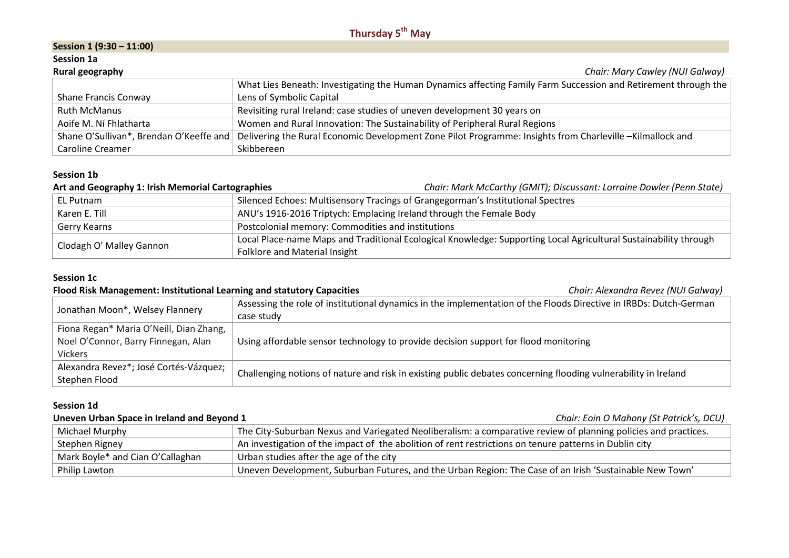# **Session 1 (9:30 – 11:00)**

# **Session 1a**

| Rural geography                         | Chair: Mary Cawley (NUI Galway)                                                                                 |
|-----------------------------------------|-----------------------------------------------------------------------------------------------------------------|
|                                         | What Lies Beneath: Investigating the Human Dynamics affecting Family Farm Succession and Retirement through the |
| Shane Francis Conway                    | Lens of Symbolic Capital                                                                                        |
| Ruth McManus                            | Revisiting rural Ireland: case studies of uneven development 30 years on                                        |
| Aoife M. Ní Fhlatharta                  | Women and Rural Innovation: The Sustainability of Peripheral Rural Regions                                      |
| Shane O'Sullivan*, Brendan O'Keeffe and | Delivering the Rural Economic Development Zone Pilot Programme: Insights from Charleville -Kilmallock and       |
| Caroline Creamer                        | Skibbereen                                                                                                      |

#### **Session 1b**

| Art and Geography 1: Irish Memorial Cartographies |                                                                                 | Chair: Mark McCarthy (GMIT); Discussant: Lorraine Dowler (Penn State)                                            |
|---------------------------------------------------|---------------------------------------------------------------------------------|------------------------------------------------------------------------------------------------------------------|
| EL Putnam                                         | Silenced Echoes: Multisensory Tracings of Grangegorman's Institutional Spectres |                                                                                                                  |
| Karen E. Till                                     | ANU's 1916-2016 Triptych: Emplacing Ireland through the Female Body             |                                                                                                                  |
| Gerry Kearns                                      | Postcolonial memory: Commodities and institutions                               |                                                                                                                  |
| Clodagh O' Malley Gannon                          |                                                                                 | Local Place-name Maps and Traditional Ecological Knowledge: Supporting Local Agricultural Sustainability through |
|                                                   | Folklore and Material Insight                                                   |                                                                                                                  |

# **Session 1c**

# **Flood Risk Management: Institutional Learning and statutory Capacitie[s](mailto:alexandra.revez@nuigalway.ie)** *Chair: Alexandra Revez (NUI Galway)*

| Jonathan Moon*, Welsey Flannery         | Assessing the role of institutional dynamics in the implementation of the Floods Directive in IRBDs: Dutch-German<br>case study |
|-----------------------------------------|---------------------------------------------------------------------------------------------------------------------------------|
|                                         |                                                                                                                                 |
| Fiona Regan* Maria O'Neill, Dian Zhang, |                                                                                                                                 |
| Noel O'Connor, Barry Finnegan, Alan     | Using affordable sensor technology to provide decision support for flood monitoring                                             |
| Vickers                                 |                                                                                                                                 |
| Alexandra Revez*; José Cortés-Vázquez;  | Challenging notions of nature and risk in existing public debates concerning flooding vulnerability in Ireland                  |
| Stephen Flood                           |                                                                                                                                 |

# **Session 1d**

#### **Uneven Urban Space in Ireland and Beyond [1](mailto:eoin.p.omahony@dcu.ie)** *Chair: Eoin O Mahony (St Patrick's, DCU)*

| Michael Murphy                   | The City-Suburban Nexus and Variegated Neoliberalism: a comparative review of planning policies and practices. |
|----------------------------------|----------------------------------------------------------------------------------------------------------------|
| Stephen Rigney                   | An investigation of the impact of the abolition of rent restrictions on tenure patterns in Dublin city         |
| Mark Boyle* and Cian O'Callaghan | Urban studies after the age of the city                                                                        |
| Philip Lawton                    | Uneven Development, Suburban Futures, and the Urban Region: The Case of an Irish 'Sustainable New Town'        |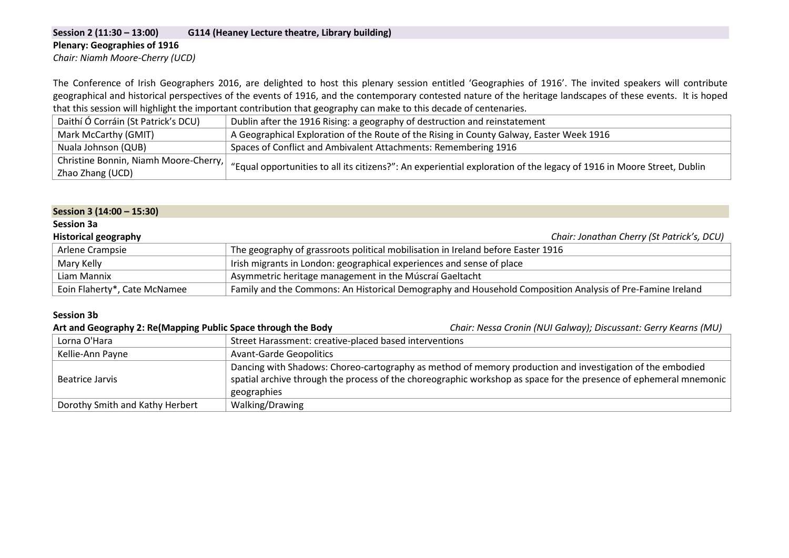#### **Session 2 (11:30 – 13:00) G114 (Heaney Lecture theatre, Library building) Plenary: Geographies of 1916**

*Chair: Niamh Moore-Cherry (UCD)*

The Conference of Irish Geographers 2016, are delighted to host this plenary session entitled 'Geographies of 1916'. The invited speakers will contribute geographical and historical perspectives of the events of 1916, and the contemporary contested nature of the heritage landscapes of these events. It is hoped that this session will highlight the important contribution that geography can make to this decade of centenaries.

| Daithí Ó Corráin (St Patrick's DCU)   | Dublin after the 1916 Rising: a geography of destruction and reinstatement                                            |
|---------------------------------------|-----------------------------------------------------------------------------------------------------------------------|
| Mark McCarthy (GMIT)                  | A Geographical Exploration of the Route of the Rising in County Galway, Easter Week 1916                              |
| Nuala Johnson (QUB)                   | Spaces of Conflict and Ambivalent Attachments: Remembering 1916                                                       |
| Christine Bonnin, Niamh Moore-Cherry, | "Equal opportunities to all its citizens?": An experiential exploration of the legacy of 1916 in Moore Street, Dublin |
| Zhao Zhang (UCD)                      |                                                                                                                       |

#### **Session 3 (14:00 – 15:30)**

#### **Session 3a**

| <b>Historical geography</b>  | Chair: Jonathan Cherry (St Patrick's, DCU)                                                                |
|------------------------------|-----------------------------------------------------------------------------------------------------------|
| Arlene Crampsie              | The geography of grassroots political mobilisation in Ireland before Easter 1916                          |
| Mary Kelly                   | Irish migrants in London: geographical experiences and sense of place                                     |
| Liam Mannix                  | Asymmetric heritage management in the Múscraí Gaeltacht                                                   |
| Eoin Flaherty*, Cate McNamee | Family and the Commons: An Historical Demography and Household Composition Analysis of Pre-Famine Ireland |

#### **Session 3b**

| Art and Geography 2: Re(Mapping Public Space through the Body | Chair: Nessa Cronin (NUI Galway); Discussant: Gerry Kearns (MU) |
|---------------------------------------------------------------|-----------------------------------------------------------------|
|---------------------------------------------------------------|-----------------------------------------------------------------|

| Lorna O'Hara                    | Street Harassment: creative-placed based interventions                                                            |
|---------------------------------|-------------------------------------------------------------------------------------------------------------------|
| Kellie-Ann Payne                | <b>Avant-Garde Geopolitics</b>                                                                                    |
|                                 | Dancing with Shadows: Choreo-cartography as method of memory production and investigation of the embodied         |
| Beatrice Jarvis                 | spatial archive through the process of the choreographic workshop as space for the presence of ephemeral mnemonic |
|                                 | geographies                                                                                                       |
| Dorothy Smith and Kathy Herbert | Walking/Drawing                                                                                                   |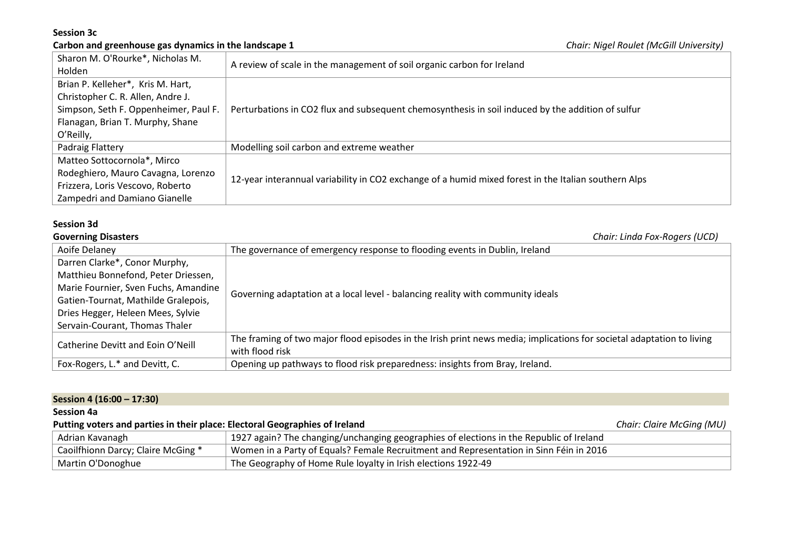**Session 3c**

# **Carbon and greenhouse gas dynamics in the landscape [1](mailto:john.b.connolly@dcu.ie)** *Chair: Nigel Roulet (McGill University)*

| Sharon M. O'Rourke*, Nicholas M.<br>Holden | A review of scale in the management of soil organic carbon for Ireland                               |
|--------------------------------------------|------------------------------------------------------------------------------------------------------|
| Brian P. Kelleher*, Kris M. Hart,          |                                                                                                      |
| Christopher C. R. Allen, Andre J.          |                                                                                                      |
| Simpson, Seth F. Oppenheimer, Paul F.      | Perturbations in CO2 flux and subsequent chemosynthesis in soil induced by the addition of sulfur    |
| Flanagan, Brian T. Murphy, Shane           |                                                                                                      |
| O'Reilly,                                  |                                                                                                      |
| Padraig Flattery                           | Modelling soil carbon and extreme weather                                                            |
| Matteo Sottocornola*, Mirco                |                                                                                                      |
| Rodeghiero, Mauro Cavagna, Lorenzo         | 12-year interannual variability in CO2 exchange of a humid mixed forest in the Italian southern Alps |
| Frizzera, Loris Vescovo, Roberto           |                                                                                                      |
| Zampedri and Damiano Gianelle              |                                                                                                      |

#### **Session 3d**

| <b>Governing Disasters</b>           | Chair: Linda Fox-Rogers (UCD)                                                                                         |
|--------------------------------------|-----------------------------------------------------------------------------------------------------------------------|
| Aoife Delaney                        | The governance of emergency response to flooding events in Dublin, Ireland                                            |
| Darren Clarke*, Conor Murphy,        | Governing adaptation at a local level - balancing reality with community ideals                                       |
| Matthieu Bonnefond, Peter Driessen,  |                                                                                                                       |
| Marie Fournier, Sven Fuchs, Amandine |                                                                                                                       |
| Gatien-Tournat, Mathilde Gralepois,  |                                                                                                                       |
| Dries Hegger, Heleen Mees, Sylvie    |                                                                                                                       |
| Servain-Courant, Thomas Thaler       |                                                                                                                       |
| Catherine Devitt and Eoin O'Neill    | The framing of two major flood episodes in the Irish print news media; implications for societal adaptation to living |
|                                      | with flood risk                                                                                                       |
| Fox-Rogers, L.* and Devitt, C.       | Opening up pathways to flood risk preparedness: insights from Bray, Ireland.                                          |

# **Session 4 (16:00 – 17:30)**

# **Session 4a**

**Putting voters and parties in their place: Electoral Geographies of Irelan[d](mailto:claire.mcging@mumail.ie)** *Chair: Claire McGing (MU)* Adrian Kavanagh 1927 again? The changing/unchanging geographies of elections in the Republic of Ireland Caoilfhionn Darcy; Claire McGing \* Women in a Party of Equals? Female Recruitment and Representation in Sinn Féin in 2016 Martin O'Donoghue The Geography of Home Rule loyalty in Irish elections 1922-49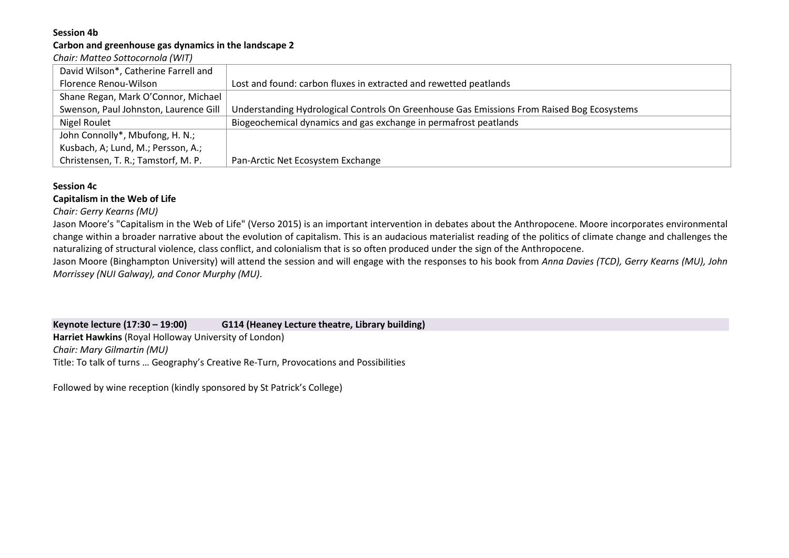### **Session 4b**

## **Carbon and greenhouse gas dynamics in the landscape [2](mailto:john.b.connolly@dcu.ie)**

*Chair: Matteo [Sottocornola](mailto:john.b.connolly@dcu.ie) (WIT)*

| David Wilson*, Catherine Farrell and  |                                                                                            |
|---------------------------------------|--------------------------------------------------------------------------------------------|
| Florence Renou-Wilson                 | Lost and found: carbon fluxes in extracted and rewetted peatlands                          |
| Shane Regan, Mark O'Connor, Michael   |                                                                                            |
| Swenson, Paul Johnston, Laurence Gill | Understanding Hydrological Controls On Greenhouse Gas Emissions From Raised Bog Ecosystems |
| Nigel Roulet                          | Biogeochemical dynamics and gas exchange in permafrost peatlands                           |
| John Connolly*, Mbufong, H. N.;       |                                                                                            |
| Kusbach, A; Lund, M.; Persson, A.;    |                                                                                            |
| Christensen, T. R.; Tamstorf, M. P.   | Pan-Arctic Net Ecosystem Exchange                                                          |

### **Session 4c**

## **Capitalism in the Web of Lif[e](mailto:gerry.kearns@nuim.ie)**

*Chair: Gerry [Kearns](mailto:gerry.kearns@nuim.ie) (MU)*

Jason Moore's "Capitalism in the Web of Life" (Verso 2015) is an important intervention in debates about the Anthropocene. Moore incorporates environmental change within a broader narrative about the evolution of capitalism. This is an audacious materialist reading of the politics of climate change and challenges the naturalizing of structural violence, class conflict, and colonialism that is so often produced under the sign of the Anthropocene.

Jason Moore (Binghampton University) will attend the session and will engage with the responses to his book from *Anna Davies (TCD), Gerry Kearns (MU), John Morrissey (NUI Galway), and Conor Murphy (MU)*.

**Keynote lecture (17:30 – 19:00) G114 (Heaney Lecture theatre, Library building) Harriet Hawkins** (Royal Holloway University of London) *Chair: Mary Gilmartin (MU)* Title: To talk of turns … Geography's Creative Re-Turn, Provocations and Possibilities

Followed by wine reception (kindly sponsored by St Patrick's College)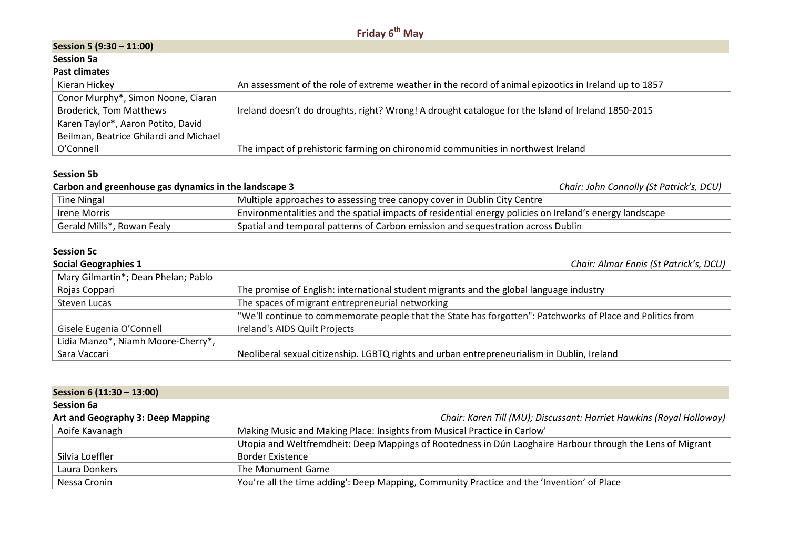# **Session 5 (9:30 – 11:00)**

#### **Session 5a**

#### **Past climates**

| Kieran Hickey                          | An assessment of the role of extreme weather in the record of animal epizootics in Ireland up to 1857 |
|----------------------------------------|-------------------------------------------------------------------------------------------------------|
| Conor Murphy*, Simon Noone, Ciaran     |                                                                                                       |
| <b>Broderick, Tom Matthews</b>         | Ireland doesn't do droughts, right? Wrong! A drought catalogue for the Island of Ireland 1850-2015    |
| Karen Taylor*, Aaron Potito, David     |                                                                                                       |
| Beilman, Beatrice Ghilardi and Michael |                                                                                                       |
| O'Connell                              | The impact of prehistoric farming on chironomid communities in northwest Ireland                      |

#### **Session 5b**

| Carbon and greenhouse gas dynamics in the landscape 3 |                                                                                                         | Chair: John Connolly (St Patrick's, DCU) |
|-------------------------------------------------------|---------------------------------------------------------------------------------------------------------|------------------------------------------|
| <b>Tine Ningal</b>                                    | Multiple approaches to assessing tree canopy cover in Dublin City Centre                                |                                          |
| Irene Morris                                          | Environmentalities and the spatial impacts of residential energy policies on Ireland's energy landscape |                                          |
| Gerald Mills*, Rowan Fealy                            | Spatial and temporal patterns of Carbon emission and sequestration across Dublin                        |                                          |

### **Session 5c**

#### **Social Geographies [1](mailto:almar.ennis@dcu.ie)** *Chair: Almar Ennis (St Patrick's, DCU)* Mary Gilmartin\*; Dean Phelan; Pablo Rojas Coppari **The promise of English:** international student migrants and the global language industry Steven Lucas The spaces of migrant entrepreneurial networking Gisele Eugenia O'Connell "We'll continue to commemorate people that the State has forgotten": Patchworks of Place and Politics from Ireland's AIDS Quilt Projects Lidia Manzo\*, Niamh Moore-Cherry\*, Sara Vaccari **Neoliberal sexual citizenship. LGBTQ rights and urban entrepreneurialism in Dublin, Ireland**

| Session 6 (11:30 - 13:00)         |                                                                                                            |  |
|-----------------------------------|------------------------------------------------------------------------------------------------------------|--|
| <b>Session 6a</b>                 |                                                                                                            |  |
| Art and Geography 3: Deep Mapping | Chair: Karen Till (MU); Discussant: Harriet Hawkins (Royal Holloway)                                       |  |
| Aoife Kavanagh                    | Making Music and Making Place: Insights from Musical Practice in Carlow'                                   |  |
|                                   | Utopia and Weltfremdheit: Deep Mappings of Rootedness in Dún Laoghaire Harbour through the Lens of Migrant |  |
| Silvia Loeffler                   | <b>Border Existence</b>                                                                                    |  |
| Laura Donkers                     | The Monument Game                                                                                          |  |
| Nessa Cronin                      | You're all the time adding': Deep Mapping, Community Practice and the 'Invention' of Place                 |  |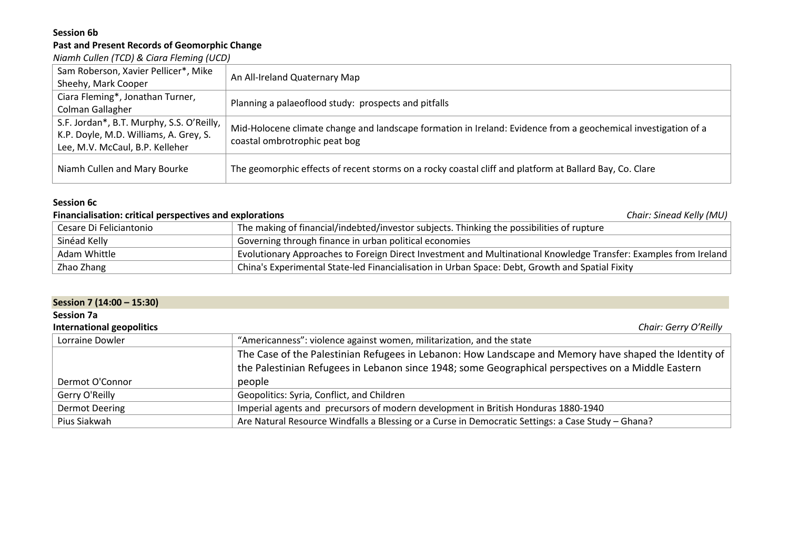# **Session 6b Past and Present Records of Geomorphic Chang[e](mailto:ciara.fleming@ucdconnect.ie)**

*Niamh Cullen (TCD) & Ciara [Fleming](mailto:ciara.fleming@ucdconnect.ie) (UCD)*

| Sam Roberson, Xavier Pellicer*, Mike      | An All-Ireland Quaternary Map                                                                                  |  |
|-------------------------------------------|----------------------------------------------------------------------------------------------------------------|--|
| Sheehy, Mark Cooper                       |                                                                                                                |  |
| Ciara Fleming*, Jonathan Turner,          | Planning a palaeoflood study: prospects and pitfalls                                                           |  |
| Colman Gallagher                          |                                                                                                                |  |
| S.F. Jordan*, B.T. Murphy, S.S. O'Reilly, | Mid-Holocene climate change and landscape formation in Ireland: Evidence from a geochemical investigation of a |  |
| K.P. Doyle, M.D. Williams, A. Grey, S.    | coastal ombrotrophic peat bog                                                                                  |  |
| Lee, M.V. McCaul, B.P. Kelleher           |                                                                                                                |  |
| Niamh Cullen and Mary Bourke              | The geomorphic effects of recent storms on a rocky coastal cliff and platform at Ballard Bay, Co. Clare        |  |

# **Session 6c**

# **Financialisation: critical perspectives and explorations** *Chair: [Sinead](mailto:sinead.m.kelly@nuim.ie) Kelly (MU)*

| Cesare Di Feliciantonio | The making of financial/indebted/investor subjects. Thinking the possibilities of rupture                                       |  |
|-------------------------|---------------------------------------------------------------------------------------------------------------------------------|--|
| Sinéad Kelly            | Governing through finance in urban political economies                                                                          |  |
| Adam Whittle            | $^{\circ}$ Evolutionary Approaches to Foreign Direct Investment and Multinational Knowledge Transfer: Examples from Ireland $ $ |  |
| Zhao Zhang              | China's Experimental State-led Financialisation in Urban Space: Debt, Growth and Spatial Fixity                                 |  |

| Session 7 (14:00 - 15:30)        |                                                                                                       |
|----------------------------------|-------------------------------------------------------------------------------------------------------|
| <b>Session 7a</b>                |                                                                                                       |
| <b>International geopolitics</b> | Chair: Gerry O'Reilly                                                                                 |
| Lorraine Dowler                  | "Americanness": violence against women, militarization, and the state                                 |
|                                  | The Case of the Palestinian Refugees in Lebanon: How Landscape and Memory have shaped the Identity of |
|                                  | the Palestinian Refugees in Lebanon since 1948; some Geographical perspectives on a Middle Eastern    |
| Dermot O'Connor                  | people                                                                                                |
| Gerry O'Reilly                   | Geopolitics: Syria, Conflict, and Children                                                            |
| <b>Dermot Deering</b>            | Imperial agents and precursors of modern development in British Honduras 1880-1940                    |
| Pius Siakwah                     | Are Natural Resource Windfalls a Blessing or a Curse in Democratic Settings: a Case Study - Ghana?    |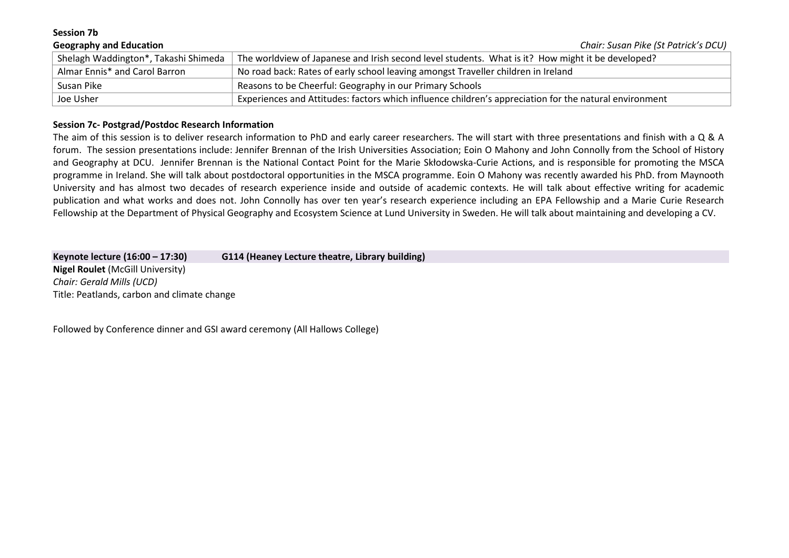**Session 7b Geography and Education** *Chair: Susan Pike (St Patrick's DCU)* Shelagh Waddington\*, Takashi Shimeda  $\parallel$  The worldview of Japanese and Irish second level students. What is it? How might it be developed? Almar Ennis\* and Carol Barron No road back: Rates of early school leaving amongst Traveller children in Ireland Susan Pike **Reasons to be Cheerful: Geography in our Primary Schools** Joe Usher **Experiences and Attitudes: factors which influence children's appreciation for the natural environment** 

#### **Session 7c- Postgrad/Postdoc Research Information**

The aim of this session is to deliver research information to PhD and early career researchers. The will start with three presentations and finish with a Q & A forum. The session presentations include: Jennifer Brennan of the Irish Universities Association; Eoin O Mahony and John Connolly from the School of History and Geography at DCU. Jennifer Brennan is the National Contact Point for the Marie Skłodowska-Curie Actions, and is responsible for promoting the MSCA programme in Ireland. She will talk about postdoctoral opportunities in the MSCA programme. Eoin O Mahony was recently awarded his PhD. from Maynooth University and has almost two decades of research experience inside and outside of academic contexts. He will talk about effective writing for academic publication and what works and does not. John Connolly has over ten year's research experience including an EPA Fellowship and a Marie Curie Research Fellowship at the Department of Physical Geography and Ecosystem Science at Lund University in Sweden. He will talk about maintaining and developing a CV.

**Keynote lecture (16:00 – 17:30) G114 (Heaney Lecture theatre, Library building) Nigel Roulet** (McGill University) *Chair: Gerald Mills (UCD)* Title: Peatlands, carbon and climate change

Followed by Conference dinner and GSI award ceremony (All Hallows College)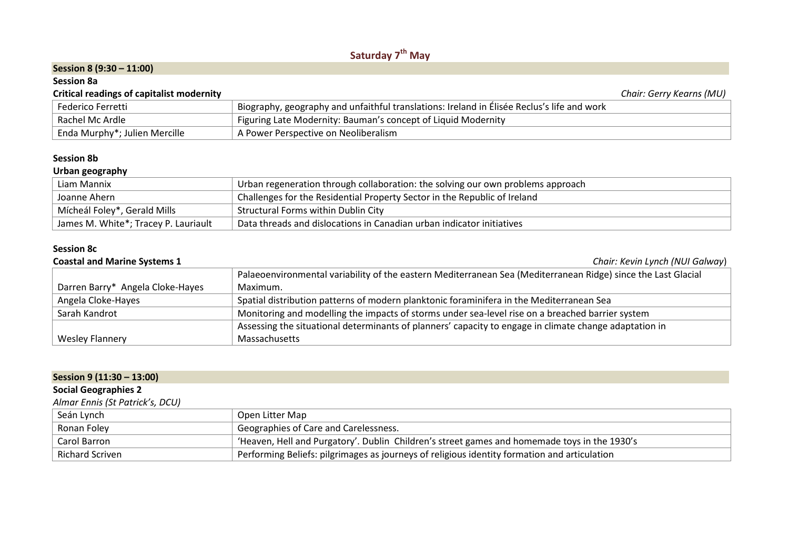# **Saturday 7th May**

#### **Session 8 (9:30 – 11:00)**

#### **Session 8a**

### **Critical readings of capitalist modernity** *Chair: Gerry Kearns (MU)*

| Critical readings or capitalist modernity |                                                                                            | $C11011. \, \text{OCI1}$ , we did a problem |
|-------------------------------------------|--------------------------------------------------------------------------------------------|---------------------------------------------|
| Federico Ferretti                         | Biography, geography and unfaithful translations: Ireland in Élisée Reclus's life and work |                                             |
| : Rachel Mc Ardle                         | Figuring Late Modernity: Bauman's concept of Liquid Modernity                              |                                             |
| Enda Murphy*; Julien Mercille             | A Power Perspective on Neoliberalism                                                       |                                             |

#### **Session 8b**

#### **Urban geography**

| Liam Mannix                               | Urban regeneration through collaboration: the solving our own problems approach |  |
|-------------------------------------------|---------------------------------------------------------------------------------|--|
| Joanne Ahern                              | Challenges for the Residential Property Sector in the Republic of Ireland       |  |
| <sup>I</sup> Mícheál Foley*, Gerald Mills | <b>Structural Forms within Dublin City</b>                                      |  |
| James M. White*; Tracey P. Lauriault      | Data threads and dislocations in Canadian urban indicator initiatives           |  |

#### **Session 8c**

Darren Barry\* Angela Cloke-Hayes

**Coastal and Marine Systems 1** *[Chair: Kevin](mailto:kevin.lynch@nuigalway.ie) Lynch (NUI Galway*) Palaeoenvironmental variability of the eastern Mediterranean Sea (Mediterranean Ridge) since the Last Glacial Maximum. Angela Cloke-Hayes  $\vert$  Spatial distribution patterns of modern planktonic foraminifera in the Mediterranean Sea Sarah Kandrot Monitoring and modelling the impacts of storms under sea-level rise on a breached barrier system

Wesley Flannery Assessing the situational determinants of planners' capacity to engage in climate change adaptation in Massachusetts

#### **Session 9 (11:30 – 13:00)**

#### **Social Geographies [2](mailto:almar.ennis@dcu.ie)**

*Almar Ennis (St [Patrick's,](mailto:almar.ennis@dcu.ie) DCU)*

| Seán Lynch      | Open Litter Map                                                                              |  |
|-----------------|----------------------------------------------------------------------------------------------|--|
| Ronan Foley     | Geographies of Care and Carelessness.                                                        |  |
| Carol Barron    | 'Heaven, Hell and Purgatory'. Dublin Children's street games and homemade toys in the 1930's |  |
| Richard Scriven | Performing Beliefs: pilgrimages as journeys of religious identity formation and articulation |  |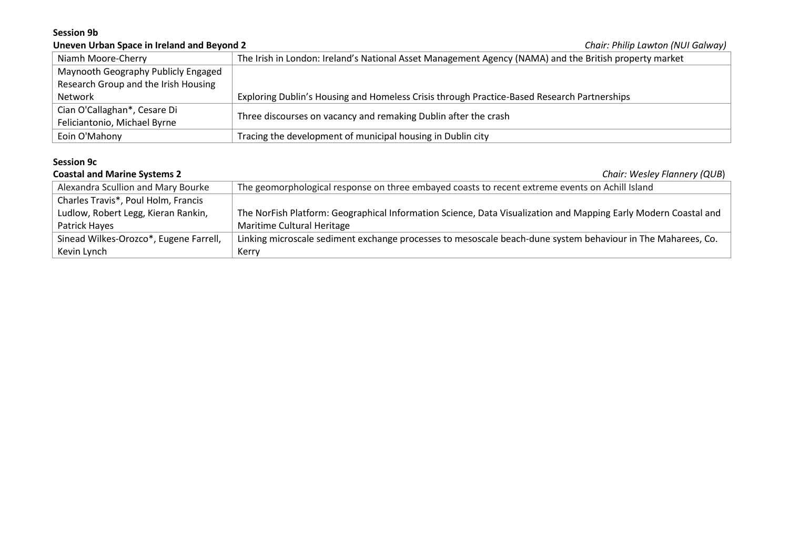# **Session 9b**

# **Uneven Urban Space in Ireland and Beyond [2](mailto:eoin.p.omahony@dcu.ie)** *Chair: Philip Lawton (NUI Galway)*

| Niamh Moore-Cherry                   | The Irish in London: Ireland's National Asset Management Agency (NAMA) and the British property market |  |
|--------------------------------------|--------------------------------------------------------------------------------------------------------|--|
| Maynooth Geography Publicly Engaged  |                                                                                                        |  |
| Research Group and the Irish Housing |                                                                                                        |  |
| Network                              | Exploring Dublin's Housing and Homeless Crisis through Practice-Based Research Partnerships            |  |
| Cian O'Callaghan*, Cesare Di         |                                                                                                        |  |
| Feliciantonio, Michael Byrne         | Three discourses on vacancy and remaking Dublin after the crash                                        |  |
| Eoin O'Mahony                        | Tracing the development of municipal housing in Dublin city                                            |  |

# **Session 9c**

| <b>Coastal and Marine Systems 2</b>    | Chair: Wesley Flannery (QUB)                                                                                    |  |
|----------------------------------------|-----------------------------------------------------------------------------------------------------------------|--|
| Alexandra Scullion and Mary Bourke     | The geomorphological response on three embayed coasts to recent extreme events on Achill Island                 |  |
| Charles Travis*, Poul Holm, Francis    |                                                                                                                 |  |
| Ludlow, Robert Legg, Kieran Rankin,    | The NorFish Platform: Geographical Information Science, Data Visualization and Mapping Early Modern Coastal and |  |
| Patrick Hayes                          | Maritime Cultural Heritage                                                                                      |  |
| Sinead Wilkes-Orozco*, Eugene Farrell, | Linking microscale sediment exchange processes to mesoscale beach-dune system behaviour in The Maharees, Co.    |  |
| Kevin Lynch                            | Kerry                                                                                                           |  |